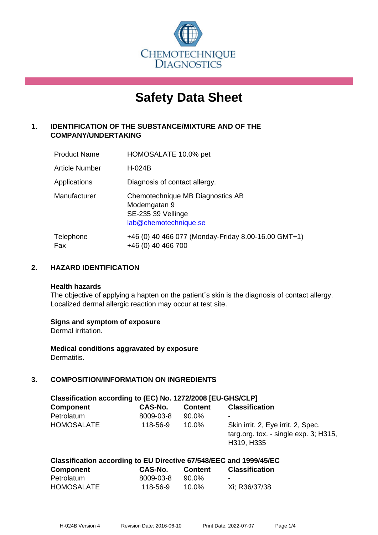

# **Safety Data Sheet**

# **1. IDENTIFICATION OF THE SUBSTANCE/MIXTURE AND OF THE COMPANY/UNDERTAKING**

| <b>Product Name</b>   | HOMOSALATE 10.0% pet                                                                            |
|-----------------------|-------------------------------------------------------------------------------------------------|
| <b>Article Number</b> | H-024B                                                                                          |
| Applications          | Diagnosis of contact allergy.                                                                   |
| Manufacturer          | Chemotechnique MB Diagnostics AB<br>Modemgatan 9<br>SE-235 39 Vellinge<br>lab@chemotechnique.se |
| Telephone<br>Fax      | +46 (0) 40 466 077 (Monday-Friday 8.00-16.00 GMT+1)<br>+46 (0) 40 466 700                       |

## **2. HAZARD IDENTIFICATION**

#### **Health hazards**

The objective of applying a hapten on the patient's skin is the diagnosis of contact allergy. Localized dermal allergic reaction may occur at test site.

#### **Signs and symptom of exposure**

Dermal irritation.

**Medical conditions aggravated by exposure** Dermatitis.

# **3. COMPOSITION/INFORMATION ON INGREDIENTS**

| Classification according to (EC) No. 1272/2008 [EU-GHS/CLP] |           |                |                                                                                              |  |  |
|-------------------------------------------------------------|-----------|----------------|----------------------------------------------------------------------------------------------|--|--|
| <b>Component</b>                                            | CAS-No.   | <b>Content</b> | <b>Classification</b>                                                                        |  |  |
| Petrolatum                                                  | 8009-03-8 | 90.0%          | ٠                                                                                            |  |  |
| <b>HOMOSALATE</b>                                           | 118-56-9  | $10.0\%$       | Skin irrit. 2, Eye irrit. 2, Spec.<br>targ.org. tox. - single $exp. 3$ ; H315,<br>H319, H335 |  |  |

# **Classification according to EU Directive 67/548/EEC and 1999/45/EC**

| Component  | CAS-No.   | <b>Content</b> | <b>Classification</b> |
|------------|-----------|----------------|-----------------------|
| Petrolatum | 8009-03-8 | 90.0%          | -                     |
| HOMOSALATE | 118-56-9  | 10.0%          | Xi; R36/37/38         |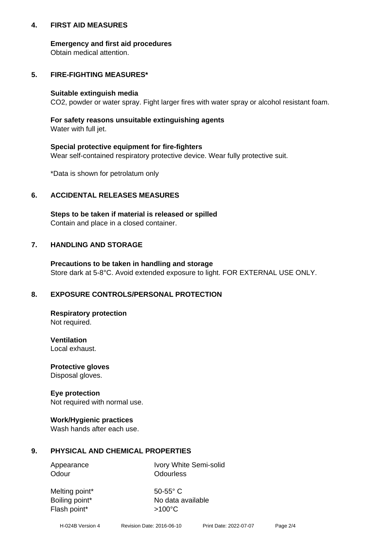#### **4. FIRST AID MEASURES**

#### **Emergency and first aid procedures**

Obtain medical attention.

# **5. FIRE-FIGHTING MEASURES\***

#### **Suitable extinguish media**

CO2, powder or water spray. Fight larger fires with water spray or alcohol resistant foam.

# **For safety reasons unsuitable extinguishing agents**

Water with full jet.

#### **Special protective equipment for fire-fighters**

Wear self-contained respiratory protective device. Wear fully protective suit.

\*Data is shown for petrolatum only

## **6. ACCIDENTAL RELEASES MEASURES**

**Steps to be taken if material is released or spilled** Contain and place in a closed container.

# **7. HANDLING AND STORAGE**

**Precautions to be taken in handling and storage** Store dark at 5-8°C. Avoid extended exposure to light. FOR EXTERNAL USE ONLY.

# **8. EXPOSURE CONTROLS/PERSONAL PROTECTION**

**Respiratory protection** Not required.

**Ventilation** Local exhaust.

**Protective gloves** Disposal gloves.

#### **Eye protection** Not required with normal use.

#### **Work/Hygienic practices**

Wash hands after each use.

#### **9. PHYSICAL AND CHEMICAL PROPERTIES**

Odour **Odourless** 

Appearance Ivory White Semi-solid

Melting point\* 50-55° C Flash point\*  $>100^{\circ}$ C

Boiling point\* No data available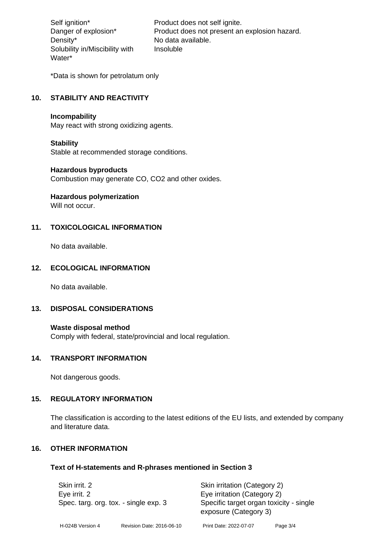Density\* No data available. Solubility in/Miscibility with Water\*

Self ignition\* Product does not self ignite. Danger of explosion\* Product does not present an explosion hazard. Insoluble

\*Data is shown for petrolatum only

# **10. STABILITY AND REACTIVITY**

#### **Incompability**

May react with strong oxidizing agents.

#### **Stability**

Stable at recommended storage conditions.

#### **Hazardous byproducts**

Combustion may generate CO, CO2 and other oxides.

**Hazardous polymerization**

Will not occur.

#### **11. TOXICOLOGICAL INFORMATION**

No data available.

#### **12. ECOLOGICAL INFORMATION**

No data available.

#### **13. DISPOSAL CONSIDERATIONS**

#### **Waste disposal method**

Comply with federal, state/provincial and local regulation.

#### **14. TRANSPORT INFORMATION**

Not dangerous goods.

#### **15. REGULATORY INFORMATION**

The classification is according to the latest editions of the EU lists, and extended by company and literature data.

#### **16. OTHER INFORMATION**

#### **Text of H-statements and R-phrases mentioned in Section 3**

| Skin irrit. 2<br>Eye irrit. 2<br>Spec. targ. org. tox. - single exp. 3 |  | Skin irritation (Category 2)<br>Eye irritation (Category 2) |                           |                        |
|------------------------------------------------------------------------|--|-------------------------------------------------------------|---------------------------|------------------------|
|                                                                        |  |                                                             |                           |                        |
|                                                                        |  | H-024B Version 4                                            | Revision Date: 2016-06-10 | Print Date: 2022-07-07 |